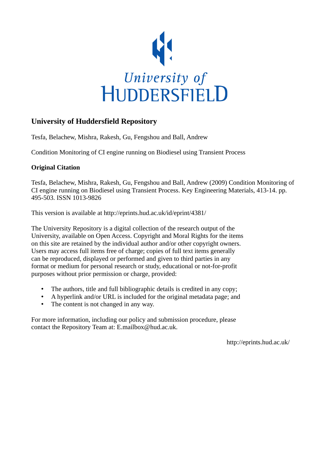

# **University of Huddersfield Repository**

Tesfa, Belachew, Mishra, Rakesh, Gu, Fengshou and Ball, Andrew

Condition Monitoring of CI engine running on Biodiesel using Transient Process

#### **Original Citation**

Tesfa, Belachew, Mishra, Rakesh, Gu, Fengshou and Ball, Andrew (2009) Condition Monitoring of CI engine running on Biodiesel using Transient Process. Key Engineering Materials, 413-14. pp. 495-503. ISSN 1013-9826

This version is available at http://eprints.hud.ac.uk/id/eprint/4381/

The University Repository is a digital collection of the research output of the University, available on Open Access. Copyright and Moral Rights for the items on this site are retained by the individual author and/or other copyright owners. Users may access full items free of charge; copies of full text items generally can be reproduced, displayed or performed and given to third parties in any format or medium for personal research or study, educational or not-for-profit purposes without prior permission or charge, provided:

- The authors, title and full bibliographic details is credited in any copy;
- A hyperlink and/or URL is included for the original metadata page; and
- The content is not changed in any way.

For more information, including our policy and submission procedure, please contact the Repository Team at: E.mailbox@hud.ac.uk.

http://eprints.hud.ac.uk/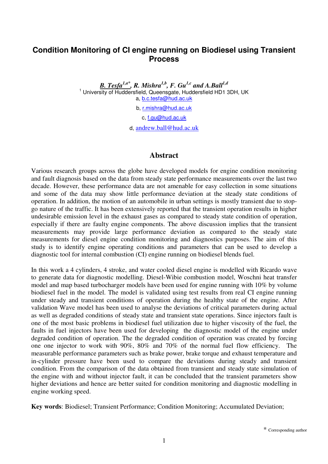# **Condition Monitoring of CI engine running on Biodiesel using Transient Process**

*B. Tesfa1,a\*, R. Mishra1,b, F. Gu1,c and A.Ball1,d*  <sup>1</sup> University of Huddersfield, Queensgate, Huddersfield HD1 3DH, UK a, b.c.tesfa@hud.ac.uk

b, r.mishra@hud.ac.uk

c, f.gu@hud.ac.uk

d, andrew.ball@hud.ac.uk

#### **Abstract**

Various research groups across the globe have developed models for engine condition monitoring and fault diagnosis based on the data from steady state performance measurements over the last two decade. However, these performance data are not amenable for easy collection in some situations and some of the data may show little performance deviation at the steady state conditions of operation. In addition, the motion of an automobile in urban settings is mostly transient due to stopgo nature of the traffic. It has been extensively reported that the transient operation results in higher undesirable emission level in the exhaust gases as compared to steady state condition of operation, especially if there are faulty engine components. The above discussion implies that the transient measurements may provide large performance deviation as compared to the steady state measurements for diesel engine condition monitoring and diagnostics purposes. The aim of this study is to identify engine operating conditions and parameters that can be used to develop a diagnostic tool for internal combustion (CI) engine running on biodiesel blends fuel.

In this work a 4 cylinders, 4 stroke, and water cooled diesel engine is modelled with Ricardo wave to generate data for diagnostic modelling. Diesel-Wibie combustion model, Woschni heat transfer model and map based turbocharger models have been used for engine running with 10% by volume biodiesel fuel in the model. The model is validated using test results from real CI engine running under steady and transient conditions of operation during the healthy state of the engine. After validation Wave model has been used to analyse the deviations of critical parameters during actual as well as degraded conditions of steady state and transient state operations. Since injectors fault is one of the most basic problems in biodiesel fuel utilization due to higher viscosity of the fuel, the faults in fuel injectors have been used for developing the diagnostic model of the engine under degraded condition of operation. The the degraded condition of operation was created by forcing one one injector to work with 90%, 80% and 70% of the normal fuel flow efficiency. The measurable performance parameters such as brake power, brake torque and exhaust temperature and in-cylinder pressure have been used to compare the deviations during steady and transient condition. From the comparison of the data obtained from transient and steady state simulation of the engine with and without injector fault, it can be concluded that the transient parameters show higher deviations and hence are better suited for condition monitoring and diagnostic modelling in engine working speed.

**Key words**: Biodiesel; Transient Performance; Condition Monitoring; Accumulated Deviation;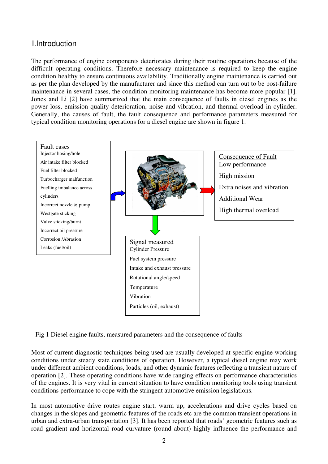# I.Introduction

The performance of engine components deteriorates during their routine operations because of the difficult operating conditions. Therefore necessary maintenance is required to keep the engine condition healthy to ensure continuous availability. Traditionally engine maintenance is carried out as per the plan developed by the manufacturer and since this method can turn out to be post-failure maintenance in several cases, the condition monitoring maintenance has become more popular [1]. Jones and Li [2] have summarized that the main consequence of faults in diesel engines as the power loss, emission quality deterioration, noise and vibration, and thermal overload in cylinder. Generally, the causes of fault, the fault consequence and performance parameters measured for typical condition monitoring operations for a diesel engine are shown in figure 1.



Fig 1 Diesel engine faults, measured parameters and the consequence of faults

Most of current diagnostic techniques being used are usually developed at specific engine working conditions under steady state conditions of operation. However, a typical diesel engine may work under different ambient conditions, loads, and other dynamic features reflecting a transient nature of operation [2]. These operating conditions have wide ranging effects on performance characteristics of the engines. It is very vital in current situation to have condition monitoring tools using transient conditions performance to cope with the stringent automotive emission legislations.

In most automotive drive routes engine start, warm up, accelerations and drive cycles based on changes in the slopes and geometric features of the roads etc are the common transient operations in urban and extra-urban transportation [3]. It has been reported that roads' geometric features such as road gradient and horizontal road curvature (round about) highly influence the performance and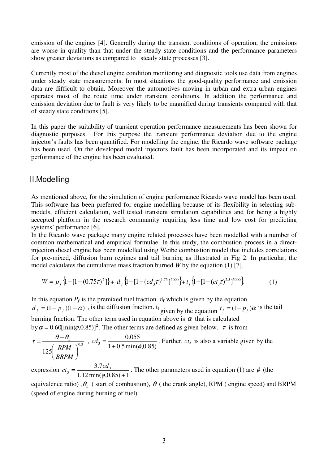emission of the engines [4]. Generally during the transient conditions of operation, the emissions are worse in quality than that under the steady state conditions and the performance parameters show greater deviations as compared to steady state processes [3].

Currently most of the diesel engine condition monitoring and diagnostic tools use data from engines under steady state measurements. In most situations the good-quality performance and emission data are difficult to obtain. Moreover the automotives moving in urban and extra urban engines operates most of the route time under transient conditions. In addition the performance and emission deviation due to fault is very likely to be magnified during transients compared with that of steady state conditions [5].

In this paper the suitability of transient operation performance measurements has been shown for diagnostic purposes. For this purpose the transient performance deviation due to the engine injector's faults has been quantified. For modelling the engine, the Ricardo wave software package has been used. On the developed model injectors fault has been incorporated and its impact on performance of the engine has been evaluated.

### II.Modelling

As mentioned above, for the simulation of engine performance Ricardo wave model has been used. This software has been preferred for engine modelling because of its flexibility in selecting submodels, efficient calculation, well tested transient simulation capabilities and for being a highly accepted platform in the research community requiring less time and low cost for predicting systems' performance [6].

In the Ricardo wave package many engine related processes have been modelled with a number of common mathematical and empirical formulae. In this study, the combustion process in a directinjection diesel engine has been modelled using Weibe combustion model that includes correlations for pre-mixed, diffusion burn regimes and tail burning as illustrated in Fig 2. In particular, the model calculates the cumulative mass fraction burned *W* by the equation (1) [7].

$$
W = p_f \{1 - [1 - (0.75\tau)^2]\} + d_f \{1 - [1 - (cd_3\tau)^{1.75}]^{5000}\} + t_f \{1 - [1 - (ct_3\tau)^{2.5}]^{5000}\}.
$$
 (1)

In this equation  $P_f$  is the premixed fuel fraction.  $d_f$  which is given by the equation  $d_f = (1 - p_f)(1 - \alpha)$ , is the diffusion fraction. t<sub>f</sub> given by the equation  $t_f = (1 - p_f)\alpha$  is the tail burning fraction. The other term used in equation above is  $\alpha$  that is calculated by  $\alpha = 0.60$ [min( $\phi$ , 0.85)]<sup>2</sup>. The other terms are defined as given below.  $\tau$  is from

$$
\tau = \frac{\theta - \theta_b}{125 \left(\frac{RPM}{BRPM}\right)^{0.3}}
$$
,  $cd_3 = \frac{0.055}{1 + 0.5 \min(\phi, 0.85)}$ . Further,  $ct_3$  is also a variable given by the

expression  $1.12 \min(\phi, 0.85) + 1$  $_3 = \frac{3.7cd_3}{1.12 \text{ min}(\phi, 0.85) +}$ =  $\phi$  $ct_3 = \frac{3.7cd_3}{(1.12 \times 10^{-4} \text{ C})(2.82 \times 10^{-4} \text{ C})}$ . The other parameters used in equation (1) are φ (the

equivalence ratio),  $\theta_b$  (start of combustion),  $\theta$  (the crank angle), RPM (engine speed) and BRPM (speed of engine during burning of fuel).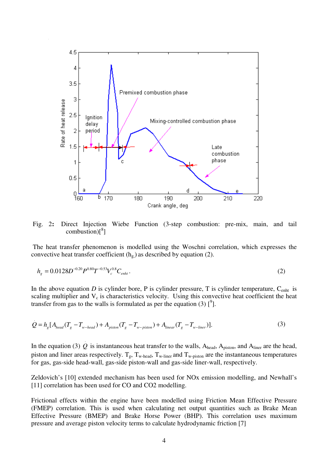

 Fig. 2**:** Direct Injection Wiebe Function (3-step combustion: pre-mix, main, and tail combustion) $\binom{8}{1}$ 

 The heat transfer phenomenon is modelled using the Woschni correlation, which expresses the convective heat transfer coefficient  $(h_{g})$  as described by equation (2).

$$
h_g = 0.0128D^{-0.20}P^{0.80}T^{-0.53}V_c^{0.8}C_{\text{enht}}.
$$
\n(2)

In the above equation  $D$  is cylinder bore, P is cylinder pressure, T is cylinder temperature,  $C_{\text{enht}}$  is scaling multiplier and  $V_c$  is characteristics velocity. Using this convective heat coefficient the heat transfer from gas to the walls is formulated as per the equation (3)  $\binom{9}{1}$ .

$$
Q = hg [Ahead (Tg - Tw-head) + Apiston (Tg - Tw-piston) + Alinear (Tg - Tw-linear)].
$$
\n(3)

In the equation (3)  $\dot{Q}$  is instantaneous heat transfer to the walls, A<sub>head</sub>, A<sub>piston</sub>, and A<sub>liner</sub> are the head, piston and liner areas respectively.  $T_g$ ,  $T_w$ -head,  $T_w$ -liner and  $T_w$ -piston are the instantaneous temperatures for gas, gas-side head-wall, gas-side piston-wall and gas-side liner-wall, respectively.

Zeldovich's [10] extended mechanism has been used for NOx emission modelling, and Newhall's [11] correlation has been used for CO and CO2 modelling.

Frictional effects within the engine have been modelled using Friction Mean Effective Pressure (FMEP) correlation. This is used when calculating net output quantities such as Brake Mean Effective Pressure (BMEP) and Brake Horse Power (BHP). This correlation uses maximum pressure and average piston velocity terms to calculate hydrodynamic friction [7]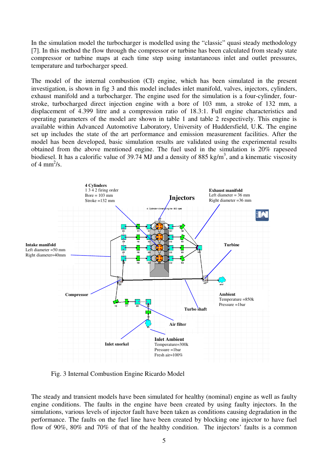In the simulation model the turbocharger is modelled using the "classic" quasi steady methodology [7]. In this method the flow through the compressor or turbine has been calculated from steady state compressor or turbine maps at each time step using instantaneous inlet and outlet pressures, temperature and turbocharger speed.

The model of the internal combustion (CI) engine, which has been simulated in the present investigation, is shown in fig 3 and this model includes inlet manifold, valves, injectors, cylinders, exhaust manifold and a turbocharger. The engine used for the simulation is a four-cylinder, fourstroke, turbocharged direct injection engine with a bore of 103 mm, a stroke of 132 mm, a displacement of 4.399 litre and a compression ratio of 18.3:1. Full engine characteristics and operating parameters of the model are shown in table 1 and table 2 respectively. This engine is available within Advanced Automotive Laboratory, University of Huddersfield, U.K. The engine set up includes the state of the art performance and emission measurement facilities. After the model has been developed, basic simulation results are validated using the experimental results obtained from the above mentioned engine. The fuel used in the simulation is 20% rapeseed biodiesel. It has a calorific value of 39.74 MJ and a density of 885 kg/m<sup>3</sup>, and a kinematic viscosity of 4 mm<sup>2</sup>/s.



Fig. 3 Internal Combustion Engine Ricardo Model

The steady and transient models have been simulated for healthy (nominal) engine as well as faulty engine conditions. The faults in the engine have been created by using faulty injectors. In the simulations, various levels of injector fault have been taken as conditions causing degradation in the performance. The faults on the fuel line have been created by blocking one injector to have fuel flow of 90%, 80% and 70% of that of the healthy condition. The injectors' faults is a common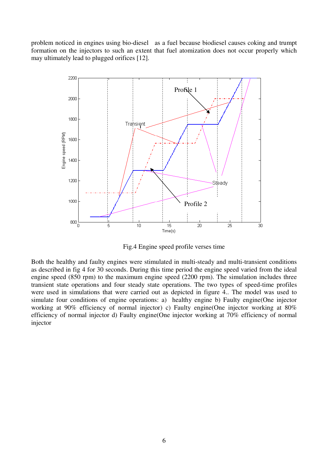problem noticed in engines using bio-diesel as a fuel because biodiesel causes coking and trumpt formation on the injectors to such an extent that fuel atomization does not occur properly which may ultimately lead to plugged orifices [12].



Fig.4 Engine speed profile verses time

Both the healthy and faulty engines were stimulated in multi-steady and multi-transient conditions as described in fig 4 for 30 seconds. During this time period the engine speed varied from the ideal engine speed (850 rpm) to the maximum engine speed (2200 rpm). The simulation includes three transient state operations and four steady state operations. The two types of speed-time profiles were used in simulations that were carried out as depicted in figure 4.. The model was used to simulate four conditions of engine operations: a) healthy engine b) Faulty engine (One injector working at 90% efficiency of normal injector) c) Faulty engine(One injector working at 80% efficiency of normal injector d) Faulty engine(One injector working at 70% efficiency of normal injector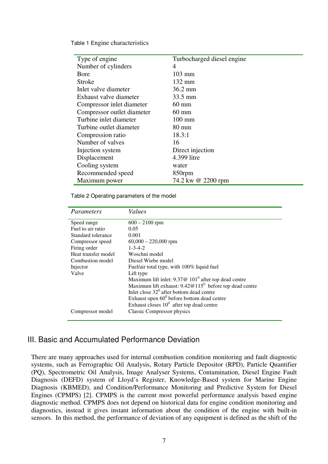Table 1 Engine characteristics

| Type of engine             | Turbocharged diesel engine |
|----------------------------|----------------------------|
| Number of cylinders        | 4                          |
| Bore                       | $103$ mm                   |
| <b>Stroke</b>              | $132 \text{ mm}$           |
| Inlet valve diameter       | $36.2 \text{ mm}$          |
| Exhaust valve diameter     | 33.5 mm                    |
| Compressor inlet diameter  | $60 \text{ mm}$            |
| Compressor outlet diameter | $60 \text{ mm}$            |
| Turbine inlet diameter     | $100 \text{ mm}$           |
| Turbine outlet diameter    | $80 \text{ mm}$            |
| Compression ratio          | 18.3:1                     |
| Number of valves           | 16                         |
| Injection system           | Direct injection           |
| Displacement               | 4.399 litre                |
| Cooling system             | water                      |
| Recommended speed          | 850rpm                     |
| Maximum power              | 74.2 kw @ 2200 rpm         |

Table 2 Operating parameters of the model

| Parameters          | <b>Values</b>                                             |
|---------------------|-----------------------------------------------------------|
|                     |                                                           |
| Speed range         | $600 - 2100$ rpm                                          |
| Fuel to air ratio   | 0.05                                                      |
| Standard tolerance  | 0.001                                                     |
| Compressor speed    | $60,000 - 220,000$ rpm                                    |
| Firing order        | $1 - 3 - 4 - 2$                                           |
| Heat transfer model | Woschni model                                             |
| Combustion model    | Diesel Wiebe model                                        |
| Injector            | Fuel/air total type, with 100% liquid fuel                |
| Valve               | Lift type                                                 |
|                     | Maximum lift inlet: $9.37@101°$ after top dead centre     |
|                     | Maximum lift exhaust: $9.42@115^0$ before top dead centre |
|                     | Inlet close $32^{\circ}$ after bottom dead centre         |
|                     | Exhaust open $60^0$ before bottom dead centre             |
|                     | Exhaust closes $100$ after top dead centre                |
| Compressor model    | Classic Compressor physics                                |
|                     |                                                           |

### III. Basic and Accumulated Performance Deviation

There are many approaches used for internal combustion condition monitoring and fault diagnostic systems, such as Ferrographic Oil Analysis, Rotary Particle Depositor (RPD), Particle Quantifier (PQ), Spectrometric Oil Analysis, Image Analyser Systems, Contamination, Diesel Engine Fault Diagnosis (DEFD) system of Lloyd's Register, Knowledge-Based system for Marine Engine Diagnosis (KBMED), and Condition/Performance Monitoring and Predictive System for Diesel Engines (CPMPS) [2]. CPMPS is the current most powerful performance analysis based engine diagnostic method. CPMPS does not depend on historical data for engine condition monitoring and diagnostics, instead it gives instant information about the condition of the engine with built-in sensors. In this method, the performance of deviation of any equipment is defined as the shift of the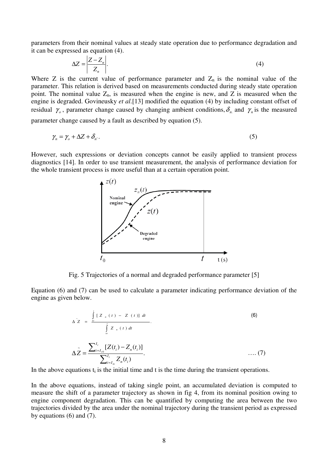parameters from their nominal values at steady state operation due to performance degradation and it can be expressed as equation (4).

$$
\Delta Z = \left| \frac{Z - Z_n}{Z_n} \right| \tag{4}
$$

Where Z is the current value of performance parameter and  $Z_n$  is the nominal value of the parameter. This relation is derived based on measurements conducted during steady state operation point. The nominal value  $Z_n$ , is measured when the engine is new, and  $Z$  is measured when the engine is degraded. Govineusky *et al*.[13] modified the equation (4) by including constant offset of residual  $\gamma$ <sub>o</sub>, parameter change caused by changing ambient conditions,  $\delta$ <sub>n</sub> and  $\gamma$ <sub>n</sub> is the measured parameter change caused by a fault as described by equation (5).

$$
\gamma_n = \gamma_o + \Delta Z + \delta_n. \tag{5}
$$

However, such expressions or deviation concepts cannot be easily applied to transient process diagnostics [14]. In order to use transient measurement, the analysis of performance deviation for the whole transient process is more useful than at a certain operation point.



Fig. 5 Trajectories of a normal and degraded performance parameter [5]

Equation (6) and (7) can be used to calculate a parameter indicating performance deviation of the engine as given below.

$$
\Delta Z = \frac{\int_{0}^{t} [Z_{n}(t) - Z(t)] dt}{\int_{t_{0}}^{t} Z_{n}(t) dt}.
$$
\n
$$
\Delta Z = \frac{\sum_{i=I_{t0}}^{I_{t}} [Z(t_{i}) - Z_{n}(t_{i})]}{\sum_{i=I_{t0}}^{I_{t}} Z_{n}(t_{i})}.
$$
\n(7)

In the above equations  $t_i$  is the initial time and t is the time during the transient operations.

In the above equations, instead of taking single point, an accumulated deviation is computed to measure the shift of a parameter trajectory as shown in fig 4, from its nominal position owing to engine component degradation. This can be quantified by computing the area between the two trajectories divided by the area under the nominal trajectory during the transient period as expressed by equations (6) and (7).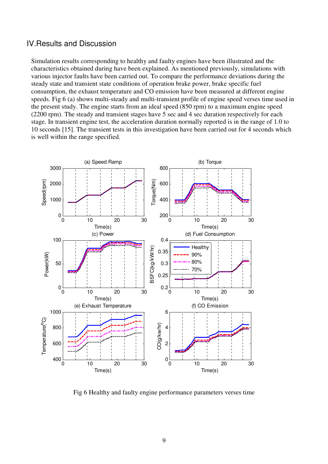### IV.Results and Discussion

Simulation results corresponding to healthy and faulty engines have been illustrated and the characteristics obtained during have been explained. As mentioned previously, simulations with various injector faults have been carried out. To compare the performance deviations during the steady state and transient state conditions of operation brake power, brake specific fuel consumption, the exhaust temperature and CO emission have been measured at different engine speeds. Fig 6 (a) shows multi-steady and multi-transient profile of engine speed verses time used in the present study. The engine starts from an ideal speed (850 rpm) to a maximum engine speed (2200 rpm). The steady and transient stages have 5 sec and 4 sec duration respectively for each stage. In transient engine test, the acceleration duration normally reported is in the range of 1.0 to 10 seconds [15]. The transient tests in this investigation have been carried out for 4 seconds which is well within the range specified.



Fig 6 Healthy and faulty engine performance parameters verses time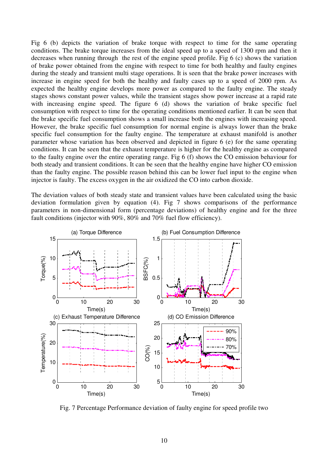Fig 6 (b) depicts the variation of brake torque with respect to time for the same operating conditions. The brake torque increases from the ideal speed up to a speed of 1300 rpm and then it decreases when running through the rest of the engine speed profile. Fig 6 (c) shows the variation of brake power obtained from the engine with respect to time for both healthy and faulty engines during the steady and transient multi stage operations. It is seen that the brake power increases with increase in engine speed for both the healthy and faulty cases up to a speed of 2000 rpm. As expected the healthy engine develops more power as compared to the faulty engine. The steady stages shows constant power values, while the transient stages show power increase at a rapid rate with increasing engine speed. The figure 6 (d) shows the variation of brake specific fuel consumption with respect to time for the operating conditions mentioned earlier. It can be seen that the brake specific fuel consumption shows a small increase both the engines with increasing speed. However, the brake specific fuel consumption for normal engine is always lower than the brake specific fuel consumption for the faulty engine. The temperature at exhaust manifold is another parameter whose variation has been observed and depicted in figure 6 (e) for the same operating conditions. It can be seen that the exhaust temperature is higher for the healthy engine as compared to the faulty engine over the entire operating range. Fig 6 (f) shows the CO emission behaviour for both steady and transient conditions. It can be seen that the healthy engine have higher CO emission than the faulty engine. The possible reason behind this can be lower fuel input to the engine when injector is faulty. The excess oxygen in the air oxidized the CO into carbon dioxide.

The deviation values of both steady state and transient values have been calculated using the basic deviation formulation given by equation (4). Fig 7 shows comparisons of the performance parameters in non-dimensional form (percentage deviations) of healthy engine and for the three fault conditions (injector with 90%, 80% and 70% fuel flow efficiency).



Fig. 7 Percentage Performance deviation of faulty engine for speed profile two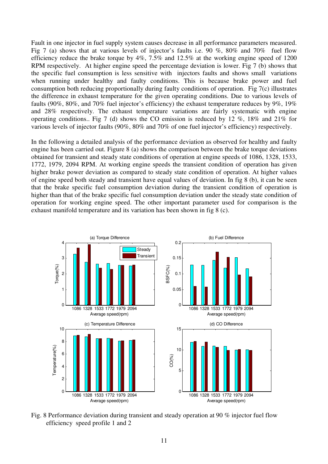Fault in one injector in fuel supply system causes decrease in all performance parameters measured. Fig 7 (a) shows that at various levels of injector's faults i.e. 90 %, 80% and 70% fuel flow efficiency reduce the brake torque by 4%, 7.5% and 12.5% at the working engine speed of 1200 RPM respectively. At higher engine speed the percentage deviation is lower. Fig 7 (b) shows that the specific fuel consumption is less sensitive with injectors faults and shows small variations when running under healthy and faulty conditions. This is because brake power and fuel consumption both reducing proportionally during faulty conditions of operation. Fig 7(c) illustrates the difference in exhaust temperature for the given operating conditions. Due to various levels of faults (90%, 80%, and 70% fuel injector's efficiency) the exhaust temperature reduces by 9%, 19% and 28% respectively. The exhaust temperature variations are fairly systematic with engine operating conditions.. Fig 7 (d) shows the CO emission is reduced by 12  $\%$ , 18 $\%$  and 21 $\%$  for various levels of injector faults (90%, 80% and 70% of one fuel injector's efficiency) respectively.

In the following a detailed analysis of the performance deviation as observed for healthy and faulty engine has been carried out. Figure 8 (a) shows the comparison between the brake torque deviations obtained for transient and steady state conditions of operation at engine speeds of 1086, 1328, 1533, 1772, 1979, 2094 RPM. At working engine speeds the transient condition of operation has given higher brake power deviation as compared to steady state condition of operation. At higher values of engine speed both steady and transient have equal values of deviation. In fig 8 (b), it can be seen that the brake specific fuel consumption deviation during the transient condition of operation is higher than that of the brake specific fuel consumption deviation under the steady state condition of operation for working engine speed. The other important parameter used for comparison is the exhaust manifold temperature and its variation has been shown in fig 8 (c).



Fig. 8 Performance deviation during transient and steady operation at 90 % injector fuel flow efficiency speed profile 1 and 2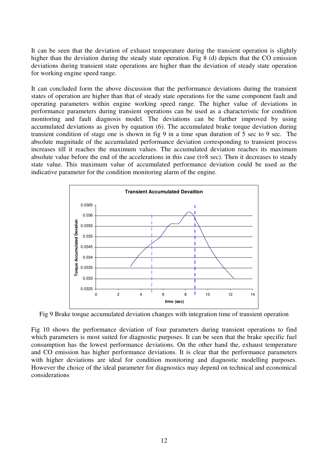It can be seen that the deviation of exhaust temperature during the transient operation is slightly higher than the deviation during the steady state operation. Fig 8 (d) depicts that the CO emission deviations during transient state operations are higher than the deviation of steady state operation for working engine speed range.

It can concluded form the above discussion that the performance deviations during the transient states of operation are higher than that of steady state operations for the same component fault and operating parameters within engine working speed range. The higher value of deviations in performance parameters during transient operations can be used as a characteristic for condition monitoring and fault diagnosis model. The deviations can be further improved by using accumulated deviations as given by equation (6). The accumulated brake torque deviation during transient condition of stage one is shown in fig 9 in a time span duration of 5 sec to 9 sec. The absolute magnitude of the accumulated performance deviation corresponding to transient process increases till it reaches the maximum values. The accumulated deviation reaches its maximum absolute value before the end of the accelerations in this case (t=8 sec). Then it decreases to steady state value. This maximum value of accumulated performance deviation could be used as the indicative parameter for the condition monitoring alarm of the engine.



Fig 9 Brake torque accumulated deviation changes with integration time of transient operation

Fig 10 shows the performance deviation of four parameters during transient operations to find which parameters is most suited for diagnostic purposes. It can be seen that the brake specific fuel consumption has the lowest performance deviations. On the other hand the, exhaust temperature and CO emission has higher performance deviations. It is clear that the performance parameters with higher deviations are ideal for condition monitoring and diagnostic modelling purposes. However the choice of the ideal parameter for diagnostics may depend on technical and economical considerations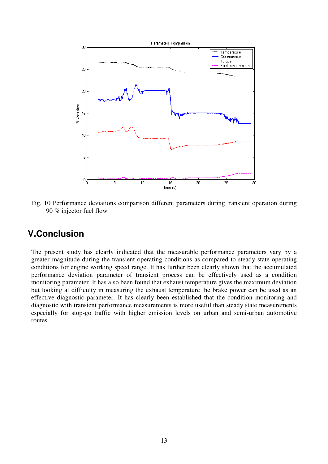

Fig. 10 Performance deviations comparison different parameters during transient operation during 90 % injector fuel flow

# **V.Conclusion**

The present study has clearly indicated that the measurable performance parameters vary by a greater magnitude during the transient operating conditions as compared to steady state operating conditions for engine working speed range. It has further been clearly shown that the accumulated performance deviation parameter of transient process can be effectively used as a condition monitoring parameter. It has also been found that exhaust temperature gives the maximum deviation but looking at difficulty in measuring the exhaust temperature the brake power can be used as an effective diagnostic parameter. It has clearly been established that the condition monitoring and diagnostic with transient performance measurements is more useful than steady state measurements especially for stop-go traffic with higher emission levels on urban and semi-urban automotive routes.